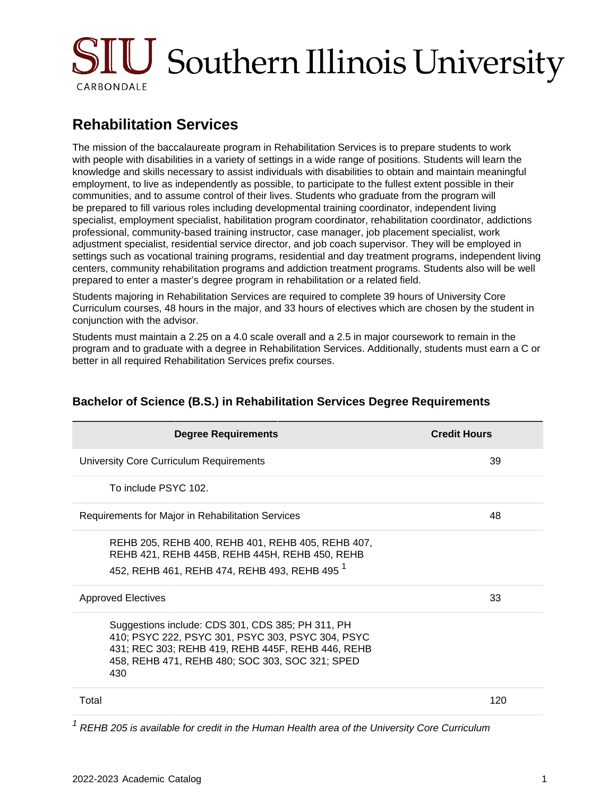# SIU Southern Illinois University CARBONDALE

## **Rehabilitation Services**

The mission of the baccalaureate program in Rehabilitation Services is to prepare students to work with people with disabilities in a variety of settings in a wide range of positions. Students will learn the knowledge and skills necessary to assist individuals with disabilities to obtain and maintain meaningful employment, to live as independently as possible, to participate to the fullest extent possible in their communities, and to assume control of their lives. Students who graduate from the program will be prepared to fill various roles including developmental training coordinator, independent living specialist, employment specialist, habilitation program coordinator, rehabilitation coordinator, addictions professional, community-based training instructor, case manager, job placement specialist, work adjustment specialist, residential service director, and job coach supervisor. They will be employed in settings such as vocational training programs, residential and day treatment programs, independent living centers, community rehabilitation programs and addiction treatment programs. Students also will be well prepared to enter a master's degree program in rehabilitation or a related field.

Students majoring in Rehabilitation Services are required to complete 39 hours of University Core Curriculum courses, 48 hours in the major, and 33 hours of electives which are chosen by the student in conjunction with the advisor.

Students must maintain a 2.25 on a 4.0 scale overall and a 2.5 in major coursework to remain in the program and to graduate with a degree in Rehabilitation Services. Additionally, students must earn a C or better in all required Rehabilitation Services prefix courses.

| <b>Degree Requirements</b>                                                                                                                                                                                            | <b>Credit Hours</b> |
|-----------------------------------------------------------------------------------------------------------------------------------------------------------------------------------------------------------------------|---------------------|
| University Core Curriculum Requirements                                                                                                                                                                               | 39                  |
| To include PSYC 102.                                                                                                                                                                                                  |                     |
| Requirements for Major in Rehabilitation Services                                                                                                                                                                     | 48                  |
| REHB 205, REHB 400, REHB 401, REHB 405, REHB 407,<br>REHB 421, REHB 445B, REHB 445H, REHB 450, REHB<br>452, REHB 461, REHB 474, REHB 493, REHB 495 <sup>1</sup>                                                       |                     |
| <b>Approved Electives</b>                                                                                                                                                                                             | 33                  |
| Suggestions include: CDS 301, CDS 385; PH 311, PH<br>410; PSYC 222, PSYC 301, PSYC 303, PSYC 304, PSYC<br>431; REC 303; REHB 419, REHB 445F, REHB 446, REHB<br>458, REHB 471, REHB 480; SOC 303, SOC 321; SPED<br>430 |                     |
| Total                                                                                                                                                                                                                 | 120                 |

#### **Bachelor of Science (B.S.) in Rehabilitation Services Degree Requirements**

 $1$  REHB 205 is available for credit in the Human Health area of the University Core Curriculum